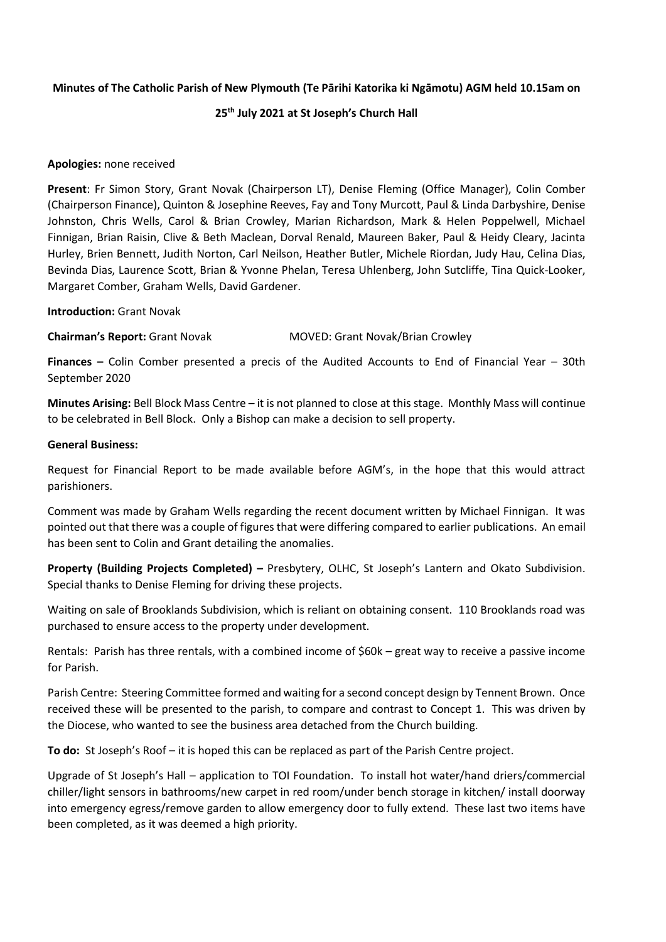## **Minutes of The Catholic Parish of New Plymouth (Te Pārihi Katorika ki Ngāmotu) AGM held 10.15am on**

## **25th July 2021 at St Joseph's Church Hall**

## **Apologies:** none received

**Present**: Fr Simon Story, Grant Novak (Chairperson LT), Denise Fleming (Office Manager), Colin Comber (Chairperson Finance), Quinton & Josephine Reeves, Fay and Tony Murcott, Paul & Linda Darbyshire, Denise Johnston, Chris Wells, Carol & Brian Crowley, Marian Richardson, Mark & Helen Poppelwell, Michael Finnigan, Brian Raisin, Clive & Beth Maclean, Dorval Renald, Maureen Baker, Paul & Heidy Cleary, Jacinta Hurley, Brien Bennett, Judith Norton, Carl Neilson, Heather Butler, Michele Riordan, Judy Hau, Celina Dias, Bevinda Dias, Laurence Scott, Brian & Yvonne Phelan, Teresa Uhlenberg, John Sutcliffe, Tina Quick-Looker, Margaret Comber, Graham Wells, David Gardener.

**Introduction:** Grant Novak

**Chairman's Report: Grant Novak MOVED: Grant Novak/Brian Crowley** 

**Finances –** Colin Comber presented a precis of the Audited Accounts to End of Financial Year – 30th September 2020

**Minutes Arising:** Bell Block Mass Centre – it is not planned to close at this stage. Monthly Mass will continue to be celebrated in Bell Block. Only a Bishop can make a decision to sell property.

## **General Business:**

Request for Financial Report to be made available before AGM's, in the hope that this would attract parishioners.

Comment was made by Graham Wells regarding the recent document written by Michael Finnigan. It was pointed out that there was a couple of figures that were differing compared to earlier publications. An email has been sent to Colin and Grant detailing the anomalies.

**Property (Building Projects Completed) –** Presbytery, OLHC, St Joseph's Lantern and Okato Subdivision. Special thanks to Denise Fleming for driving these projects.

Waiting on sale of Brooklands Subdivision, which is reliant on obtaining consent. 110 Brooklands road was purchased to ensure access to the property under development.

Rentals: Parish has three rentals, with a combined income of \$60k – great way to receive a passive income for Parish.

Parish Centre: Steering Committee formed and waiting for a second concept design by Tennent Brown. Once received these will be presented to the parish, to compare and contrast to Concept 1. This was driven by the Diocese, who wanted to see the business area detached from the Church building.

**To do:** St Joseph's Roof – it is hoped this can be replaced as part of the Parish Centre project.

Upgrade of St Joseph's Hall – application to TOI Foundation. To install hot water/hand driers/commercial chiller/light sensors in bathrooms/new carpet in red room/under bench storage in kitchen/ install doorway into emergency egress/remove garden to allow emergency door to fully extend. These last two items have been completed, as it was deemed a high priority.